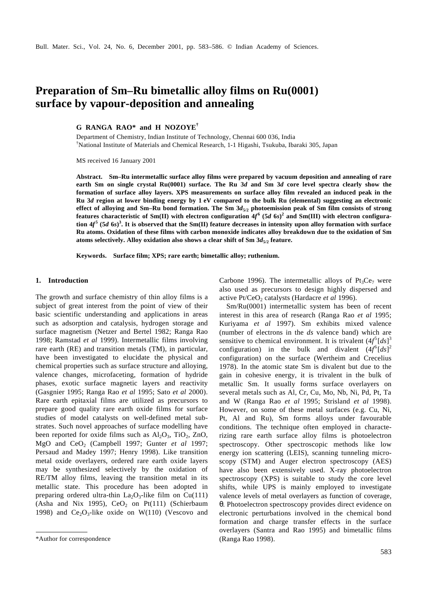# **Preparation of Sm–Ru bimetallic alloy films on Ru(0001) surface by vapour-deposition and annealing**

**G RANGA RAO\* and H NOZOYE†**

Department of Chemistry, Indian Institute of Technology, Chennai 600 036, India †National Institute of Materials and Chemical Research, 1-1 Higashi, Tsukuba, Ibaraki 305, Japan

MS received 16 January 2001

**Abstract. Sm–Ru intermetallic surface alloy films were prepared by vacuum deposition and annealing of rare earth Sm on single crystal Ru(0001) surface. The Ru 3***d* **and Sm 3***d* **core level spectra clearly show the formation of surface alloy layers. XPS measurements on surface alloy film revealed an induced peak in the Ru 3***d* **region at lower binding energy by 1 eV compared to the bulk Ru (elemental) suggesting an electronic effect of alloying and Sm–Ru bond formation. The Sm 3***d***5/2 photoemission peak of Sm film consists of strong**  features characteristic of Sm(II) with electron configuration  $4f^6$  (5*d* 6*s*)<sup>2</sup> and Sm(III) with electron configura**tion**  $4f^5$  (5*d* 6*s*)<sup>3</sup>. It is observed that the Sm(II) feature decreases in intensity upon alloy formation with surface **Ru atoms. Oxidation of these films with carbon monoxide indicates alloy breakdown due to the oxidation of Sm atoms selectively. Alloy oxidation also shows a clear shift of Sm 3***d***5/2 feature.**

**Keywords. Surface film; XPS; rare earth; bimetallic alloy; ruthenium.**

#### **1. Introduction**

The growth and surface chemistry of thin alloy films is a subject of great interest from the point of view of their basic scientific understanding and applications in areas such as adsorption and catalysis, hydrogen storage and surface magnetism (Netzer and Bertel 1982; Ranga Rao 1998; Ramstad *et al* 1999). Intermetallic films involving rare earth (RE) and transition metals (TM), in particular, have been investigated to elucidate the physical and chemical properties such as surface structure and alloying, valence changes, microfaceting, formation of hydride phases, exotic surface magnetic layers and reactivity (Gasgnier 1995; Ranga Rao *et al* 1995; Sato *et al* 2000). Rare earth epitaxial films are utilized as precursors to prepare good quality rare earth oxide films for surface studies of model catalysts on well-defined metal substrates. Such novel approaches of surface modelling have been reported for oxide films such as  $Al_2O_3$ , TiO<sub>2</sub>, ZnO, MgO and CeO2 (Campbell 1997; Gunter *et al* 1997; Persaud and Madey 1997; Henry 1998). Like transition metal oxide overlayers, ordered rare earth oxide layers may be synthesized selectively by the oxidation of RE/TM alloy films, leaving the transition metal in its metallic state. This procedure has been adopted in preparing ordered ultra-thin  $La_2O_3$ -like film on Cu(111) (Asha and Nix 1995),  $CeO<sub>2</sub>$  on Pt(111) (Schierbaum 1998) and  $Ce<sub>2</sub>O<sub>3</sub>$ -like oxide on W(110) (Vescovo and

Carbone 1996). The intermetallic alloys of  $Pt_3Ce_7$  were also used as precursors to design highly dispersed and active Pt/CeO<sub>2</sub> catalysts (Hardacre *et al* 1996).

Sm/Ru(0001) intermetallic system has been of recent interest in this area of research (Ranga Rao *et al* 1995; Kuriyama *et al* 1997). Sm exhibits mixed valence (number of electrons in the *ds* valence band) which are sensitive to chemical environment. It is trivalent  $(4f^5[ds])^3$ configuration) in the bulk and divalent  $(4f^6[ds])^2$ configuration) on the surface (Wertheim and Crecelius 1978). In the atomic state Sm is divalent but due to the gain in cohesive energy, it is trivalent in the bulk of metallic Sm. It usually forms surface overlayers on several metals such as Al, Cr, Cu, Mo, Nb, Ni, Pd, Pt, Ta and W (Ranga Rao *et al* 1995; Strisland *et al* 1998). However, on some of these metal surfaces (e.g. Cu, Ni, Pt, Al and Ru), Sm forms alloys under favourable conditions. The technique often employed in characterizing rare earth surface alloy films is photoelectron spectroscopy. Other spectroscopic methods like low energy ion scattering (LEIS), scanning tunneling microscopy (STM) and Auger electron spectroscopy (AES) have also been extensively used. X-ray photoelectron spectroscopy (XPS) is suitable to study the core level shifts, while UPS is mainly employed to investigate valence levels of metal overlayers as function of coverage, *q*. Photoelectron spectroscopy provides direct evidence on electronic perturbations involved in the chemical bond formation and charge transfer effects in the surface overlayers (Santra and Rao 1995) and bimetallic films

<sup>\*</sup>Author for correspondence (Ranga Rao 1998).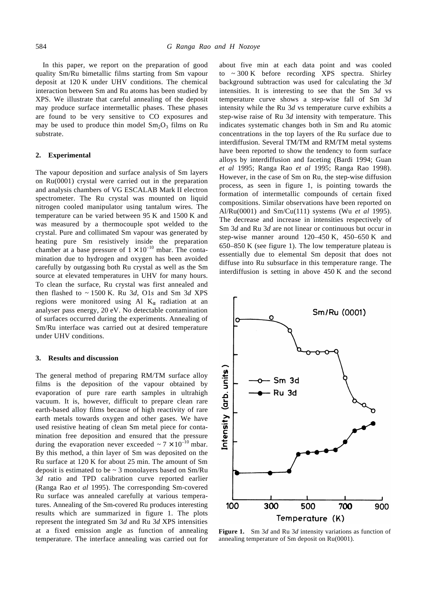In this paper, we report on the preparation of good quality Sm/Ru bimetallic films starting from Sm vapour deposit at 120 K under UHV conditions. The chemical interaction between Sm and Ru atoms has been studied by XPS. We illustrate that careful annealing of the deposit may produce surface intermetallic phases. These phases are found to be very sensitive to CO exposures and may be used to produce thin model  $Sm_2O_3$  films on Ru substrate.

## **2. Experimental**

The vapour deposition and surface analysis of Sm layers on Ru(0001) crystal were carried out in the preparation and analysis chambers of VG ESCALAB Mark II electron spectrometer. The Ru crystal was mounted on liquid nitrogen cooled manipulator using tantalum wires. The temperature can be varied between 95 K and 1500 K and was measured by a thermocouple spot welded to the crystal. Pure and collimated Sm vapour was generated by heating pure Sm resistively inside the preparation chamber at a base pressure of  $1 \times 10^{-10}$  mbar. The contamination due to hydrogen and oxygen has been avoided carefully by outgassing both Ru crystal as well as the Sm source at elevated temperatures in UHV for many hours. To clean the surface, Ru crystal was first annealed and then flashed to ~ 1500 K. Ru 3*d*, O1*s* and Sm 3*d* XPS regions were monitored using Al K*a* radiation at an analyser pass energy, 20 eV. No detectable contamination of surfaces occurred during the experiments. Annealing of Sm/Ru interface was carried out at desired temperature under UHV conditions.

# **3. Results and discussion**

The general method of preparing RM/TM surface alloy films is the deposition of the vapour obtained by evaporation of pure rare earth samples in ultrahigh vacuum. It is, however, difficult to prepare clean rare earth-based alloy films because of high reactivity of rare earth metals towards oxygen and other gases. We have used resistive heating of clean Sm metal piece for contamination free deposition and ensured that the pressure during the evaporation never exceeded  $\sim$  7  $\times$  10<sup>-10</sup> mbar. By this method, a thin layer of Sm was deposited on the Ru surface at 120 K for about 25 min. The amount of Sm deposit is estimated to be  $\sim$  3 monolayers based on Sm/Ru 3*d* ratio and TPD calibration curve reported earlier (Ranga Rao *et al* 1995). The corresponding Sm-covered Ru surface was annealed carefully at various temperatures. Annealing of the Sm-covered Ru produces interesting results which are summarized in figure 1. The plots represent the integrated Sm 3*d* and Ru 3*d* XPS intensities at a fixed emission angle as function of annealing temperature. The interface annealing was carried out for about five min at each data point and was cooled to ~ 300 K before recording XPS spectra. Shirley background subtraction was used for calculating the 3*d* intensities. It is interesting to see that the Sm 3*d* vs temperature curve shows a step-wise fall of Sm 3*d* intensity while the Ru 3*d* vs temperature curve exhibits a step-wise raise of Ru 3*d* intensity with temperature. This indicates systematic changes both in Sm and Ru atomic concentrations in the top layers of the Ru surface due to interdiffusion. Several TM/TM and RM/TM metal systems have been reported to show the tendency to form surface alloys by interdiffusion and faceting (Bardi 1994; Guan *et al* 1995; Ranga Rao *et al* 1995; Ranga Rao 1998). However, in the case of Sm on Ru, the step-wise diffusion process, as seen in figure 1, is pointing towards the formation of intermetallic compounds of certain fixed compositions. Similar observations have been reported on Al/Ru(0001) and Sm/Cu(111) systems (Wu *et al* 1995). The decrease and increase in intensities respectively of Sm 3*d* and Ru 3*d* are not linear or continuous but occur in step-wise manner around 120–450 K, 450–650 K and 650–850 K (see figure 1). The low temperature plateau is essentially due to elemental Sm deposit that does not diffuse into Ru subsurface in this temperature range. The interdiffusion is setting in above 450 K and the second



**Figure 1.** Sm 3*d* and Ru 3*d* intensity variations as function of annealing temperature of Sm deposit on Ru(0001).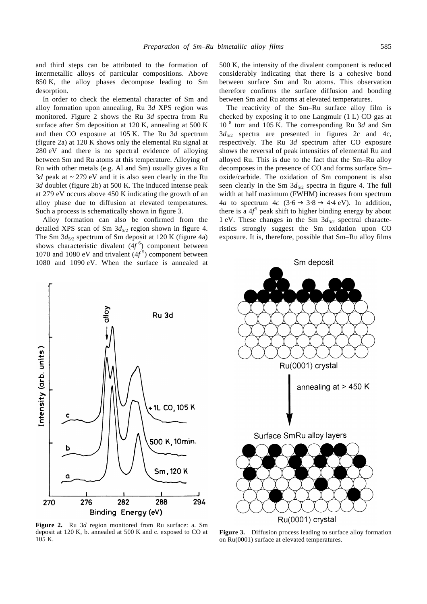and third steps can be attributed to the formation of intermetallic alloys of particular compositions. Above 850 K, the alloy phases decompose leading to Sm desorption.

In order to check the elemental character of Sm and alloy formation upon annealing, Ru 3*d* XPS region was monitored. Figure 2 shows the Ru 3*d* spectra from Ru surface after Sm deposition at 120 K, annealing at 500 K and then CO exposure at 105 K. The Ru 3*d* spectrum (figure 2a) at 120 K shows only the elemental Ru signal at 280 eV and there is no spectral evidence of alloying between Sm and Ru atoms at this temperature. Alloying of Ru with other metals (e.g. Al and Sm) usually gives a Ru  $3d$  peak at  $\sim$  279 eV and it is also seen clearly in the Ru 3*d* doublet (figure 2b) at 500 K. The induced intense peak at 279 eV occurs above 450 K indicating the growth of an alloy phase due to diffusion at elevated temperatures. Such a process is schematically shown in figure 3.

Alloy formation can also be confirmed from the detailed XPS scan of Sm  $3d_{5/2}$  region shown in figure 4. The Sm  $3d_{5/2}$  spectrum of Sm deposit at 120 K (figure 4a) shows characteristic divalent (4*f* 6 ) component between 1070 and 1080 eV and trivalent (4*f* 5 ) component between 1080 and 1090 eV. When the surface is annealed at



**Figure 2.** Ru 3*d* region monitored from Ru surface: a. Sm deposit at 120 K, b. annealed at 500 K and c. exposed to CO at 105 K.



The reactivity of the Sm–Ru surface alloy film is checked by exposing it to one Langmuir (1 L) CO gas at 10–8 torr and 105 K. The corresponding Ru 3*d* and Sm  $3d_{5/2}$  spectra are presented in figures 2c and 4c, respectively. The Ru 3*d* spectrum after CO exposure shows the reversal of peak intensities of elemental Ru and alloyed Ru. This is due to the fact that the Sm–Ru alloy decomposes in the presence of CO and forms surface Sm– oxide/carbide. The oxidation of Sm component is also seen clearly in the Sm  $3d_{5/2}$  spectra in figure 4. The full width at half maximum (FWHM) increases from spectrum 4*a* to spectrum  $4c$  (3⋅6 → 3⋅8 → 4⋅4 eV). In addition, there is a  $4f^5$  peak shift to higher binding energy by about 1 eV. These changes in the Sm 3*d*5/2 spectral characteristics strongly suggest the Sm oxidation upon CO exposure. It is, therefore, possible that Sm–Ru alloy films



**Figure 3.** Diffusion process leading to surface alloy formation on Ru(0001) surface at elevated temperatures.